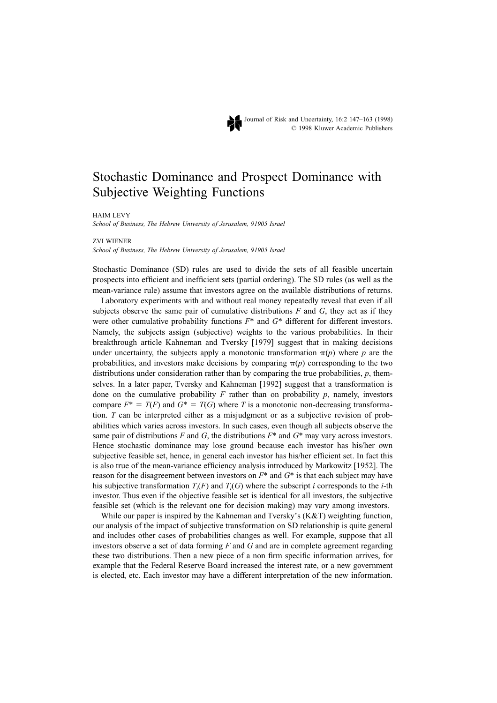

Journal of Risk and Uncertainty, 16:2 147–163 (1998) © 1998 Kluwer Academic Publishers

# Stochastic Dominance and Prospect Dominance with Subjective Weighting Functions

HAIM LEVY

*School of Business, The Hebrew University of Jerusalem, 91905 Israel*

ZVI WIENER

*School of Business, The Hebrew University of Jerusalem, 91905 Israel*

Stochastic Dominance (SD) rules are used to divide the sets of all feasible uncertain prospects into efficient and inefficient sets (partial ordering). The SD rules (as well as the mean-variance rule) assume that investors agree on the available distributions of returns.

Laboratory experiments with and without real money repeatedly reveal that even if all subjects observe the same pair of cumulative distributions  $F$  and  $G$ , they act as if they were other cumulative probability functions *F*\* and *G*\* different for different investors. Namely, the subjects assign (subjective) weights to the various probabilities. In their breakthrough article Kahneman and Tversky [1979] suggest that in making decisions under uncertainty, the subjects apply a monotonic transformation  $\pi(p)$  where *p* are the probabilities, and investors make decisions by comparing  $\pi(p)$  corresponding to the two distributions under consideration rather than by comparing the true probabilities, *p*, themselves. In a later paper, Tversky and Kahneman [1992] suggest that a transformation is done on the cumulative probability  $F$  rather than on probability  $p$ , namely, investors compare  $F^* = T(F)$  and  $G^* = T(G)$  where *T* is a monotonic non-decreasing transformation. *T* can be interpreted either as a misjudgment or as a subjective revision of probabilities which varies across investors. In such cases, even though all subjects observe the same pair of distributions *F* and *G*, the distributions  $F^*$  and  $G^*$  may vary across investors. Hence stochastic dominance may lose ground because each investor has his/her own subjective feasible set, hence, in general each investor has his/her efficient set. In fact this is also true of the mean-variance efficiency analysis introduced by Markowitz [1952]. The reason for the disagreement between investors on *F*\* and *G*\* is that each subject may have his subjective transformation  $T_i(F)$  and  $T_i(G)$  where the subscript *i* corresponds to the *i*-th investor. Thus even if the objective feasible set is identical for all investors, the subjective feasible set (which is the relevant one for decision making) may vary among investors.

While our paper is inspired by the Kahneman and Tversky's (K&T) weighting function, our analysis of the impact of subjective transformation on SD relationship is quite general and includes other cases of probabilities changes as well. For example, suppose that all investors observe a set of data forming *F* and *G* and are in complete agreement regarding these two distributions. Then a new piece of a non firm specific information arrives, for example that the Federal Reserve Board increased the interest rate, or a new government is elected, etc. Each investor may have a different interpretation of the new information.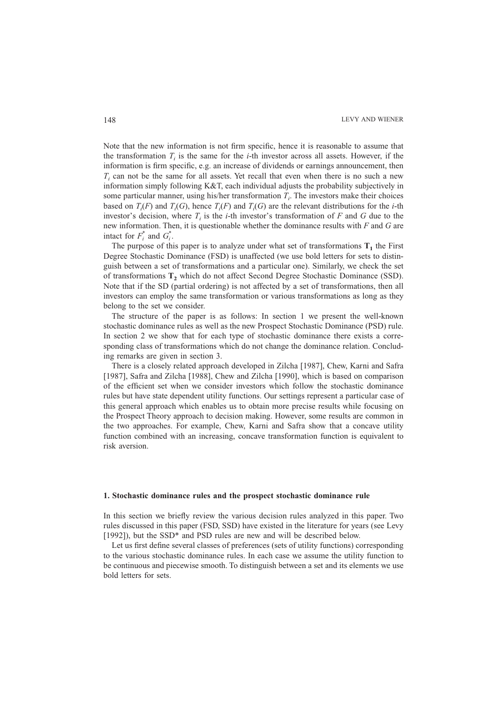Note that the new information is not firm specific, hence it is reasonable to assume that the transformation  $T<sub>i</sub>$  is the same for the *i*-th investor across all assets. However, if the information is firm specific, e.g. an increase of dividends or earnings announcement, then  $T_i$  can not be the same for all assets. Yet recall that even when there is no such a new information simply following K&T, each individual adjusts the probability subjectively in some particular manner, using his/her transformation  $T_i$ . The investors make their choices based on  $T_i(F)$  and  $T_i(G)$ , hence  $T_i(F)$  and  $T_i(G)$  are the relevant distributions for the *i*-th investor's decision, where  $T_i$  is the *i*-th investor's transformation of  $F$  and  $G$  due to the new information. Then, it is questionable whether the dominance results with *F* and *G* are intact for  $F_i^*$  and  $G_i^*$ .

The purpose of this paper is to analyze under what set of transformations  $T_1$  the First Degree Stochastic Dominance (FSD) is unaffected (we use bold letters for sets to distinguish between a set of transformations and a particular one). Similarly, we check the set of transformations **T2** which do not affect Second Degree Stochastic Dominance (SSD). Note that if the SD (partial ordering) is not affected by a set of transformations, then all investors can employ the same transformation or various transformations as long as they belong to the set we consider.

The structure of the paper is as follows: In section 1 we present the well-known stochastic dominance rules as well as the new Prospect Stochastic Dominance (PSD) rule. In section 2 we show that for each type of stochastic dominance there exists a corresponding class of transformations which do not change the dominance relation. Concluding remarks are given in section 3.

There is a closely related approach developed in Zilcha [1987], Chew, Karni and Safra [1987], Safra and Zilcha [1988], Chew and Zilcha [1990], which is based on comparison of the efficient set when we consider investors which follow the stochastic dominance rules but have state dependent utility functions. Our settings represent a particular case of this general approach which enables us to obtain more precise results while focusing on the Prospect Theory approach to decision making. However, some results are common in the two approaches. For example, Chew, Karni and Safra show that a concave utility function combined with an increasing, concave transformation function is equivalent to risk aversion.

#### **1. Stochastic dominance rules and the prospect stochastic dominance rule**

In this section we briefly review the various decision rules analyzed in this paper. Two rules discussed in this paper (FSD, SSD) have existed in the literature for years (see Levy [1992]), but the SSD<sup>\*</sup> and PSD rules are new and will be described below.

Let us first define several classes of preferences (sets of utility functions) corresponding to the various stochastic dominance rules. In each case we assume the utility function to be continuous and piecewise smooth. To distinguish between a set and its elements we use bold letters for sets.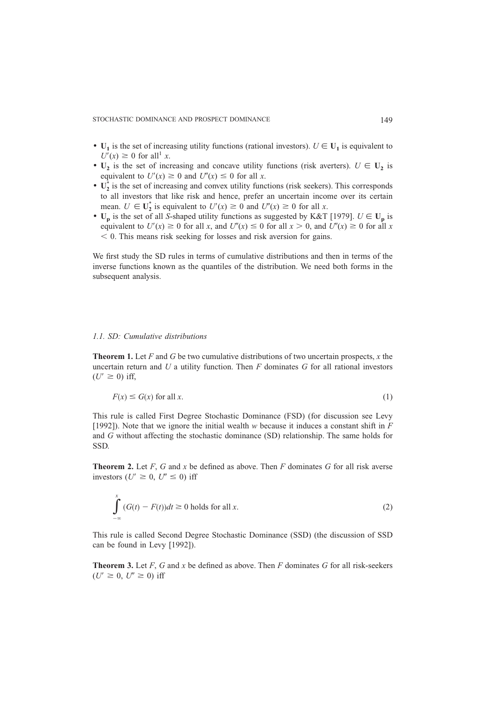- $U_1$  is the set of increasing utility functions (rational investors).  $U \in U_1$  is equivalent to  $U'(x) \geq 0$  for all<sup>1</sup> *x*.
- $U_2$  is the set of increasing and concave utility functions (risk averters).  $U \in U_2$  is equivalent to  $U'(x) \ge 0$  and  $U''(x) \le 0$  for all *x*.
- $\bullet$   $\mathbf{U}_2^*$  is the set of increasing and convex utility functions (risk seekers). This corresponds to all investors that like risk and hence, prefer an uncertain income over its certain mean.  $U \in U_2^*$  is equivalent to  $U'(x) \ge 0$  and  $U''(x) \ge 0$  for all *x*.
- $\mathbf{U}_p$  is the set of all *S*-shaped utility functions as suggested by K&T [1979].  $U \in \mathbf{U}_p$  is equivalent to  $U'(x) \ge 0$  for all *x*, and  $U''(x) \le 0$  for all  $x > 0$ , and  $U''(x) \ge 0$  for all *x*  $<$  0. This means risk seeking for losses and risk aversion for gains.

We first study the SD rules in terms of cumulative distributions and then in terms of the inverse functions known as the quantiles of the distribution. We need both forms in the subsequent analysis.

#### *1.1. SD: Cumulative distributions*

**Theorem 1.** Let *F* and *G* be two cumulative distributions of two uncertain prospects, *x* the uncertain return and *U* a utility function. Then *F* dominates *G* for all rational investors  $(U' \geq 0)$  iff,

$$
F(x) \le G(x) \text{ for all } x. \tag{1}
$$

This rule is called First Degree Stochastic Dominance (FSD) (for discussion see Levy [1992]). Note that we ignore the initial wealth *w* because it induces a constant shift in *F* and *G* without affecting the stochastic dominance (SD) relationship. The same holds for SSD.

**Theorem 2.** Let *F*, *G* and *x* be defined as above. Then *F* dominates *G* for all risk averse investors ( $U' \geq 0$ ,  $U'' \leq 0$ ) iff

$$
\int_{-\infty}^{x} (G(t) - F(t))dt \ge 0 \text{ holds for all } x.
$$
\n(2)

This rule is called Second Degree Stochastic Dominance (SSD) (the discussion of SSD can be found in Levy [1992]).

**Theorem 3.** Let *F*, *G* and *x* be defined as above. Then *F* dominates *G* for all risk-seekers  $(U' \geq 0, U'' \geq 0)$  iff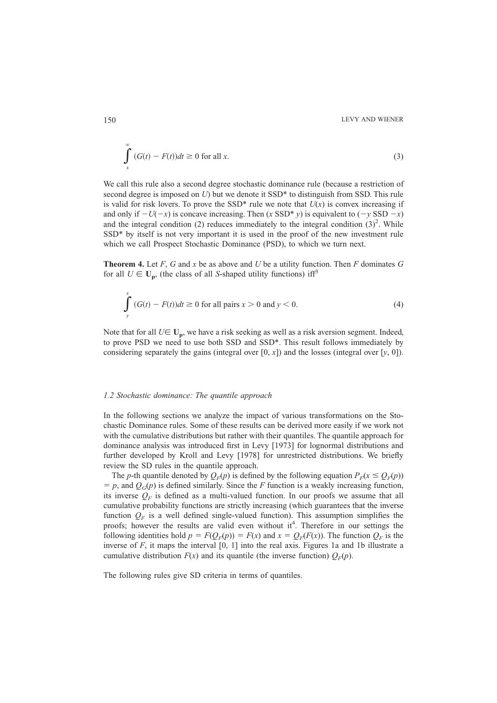$$
\int_{x}^{x} (G(t) - F(t))dt \ge 0 \text{ for all } x.
$$
\n(3)

We call this rule also a second degree stochastic dominance rule (because a restriction of second degree is imposed on *U*) but we denote it SSD\* to distinguish from SSD. This rule is valid for risk lovers. To prove the SSD<sup>\*</sup> rule we note that  $U(x)$  is convex increasing if and only if  $-U(-x)$  is concave increasing. Then (*x* SSD\* *y*) is equivalent to ( $-y$  SSD  $-x$ ) and the integral condition (2) reduces immediately to the integral condition  $(3)^2$ . While SSD\* by itself is not very important it is used in the proof of the new investment rule which we call Prospect Stochastic Dominance (PSD), to which we turn next.

**Theorem 4.** Let *F*, *G* and *x* be as above and *U* be a utility function. Then *F* dominates *G* for all  $U \in U_p$ , (the class of all *S*-shaped utility functions) iff<sup>3</sup>

$$
\int_{y}^{x} (G(t) - F(t))dt \ge 0 \text{ for all pairs } x > 0 \text{ and } y < 0.
$$
 (4)

Note that for all  $U \in U_p$ , we have a risk seeking as well as a risk aversion segment. Indeed, to prove PSD we need to use both SSD and SSD\*. This result follows immediately by considering separately the gains (integral over  $[0, x]$ ) and the losses (integral over  $[y, 0]$ ).

#### *1.2 Stochastic dominance: The quantile approach*

In the following sections we analyze the impact of various transformations on the Stochastic Dominance rules. Some of these results can be derived more easily if we work not with the cumulative distributions but rather with their quantiles. The quantile approach for dominance analysis was introduced first in Levy [1973] for lognormal distributions and further developed by Kroll and Levy [1978] for unrestricted distributions. We briefly review the SD rules in the quantile approach.

The *p*-th quantile denoted by  $Q_F(p)$  is defined by the following equation  $P_F(x \leq Q_F(p))$  $= p$ , and  $Q_G(p)$  is defined similarly. Since the *F* function is a weakly increasing function, its inverse  $Q_F$  is defined as a multi-valued function. In our proofs we assume that all cumulative probability functions are strictly increasing (which guarantees that the inverse function  $Q_F$  is a well defined single-valued function). This assumption simplifies the proofs; however the results are valid even without it<sup>4</sup>. Therefore in our settings the following identities hold  $p = F(Q_F(p)) = F(x)$  and  $x = Q_F(F(x))$ . The function  $Q_F$  is the inverse of  $F$ , it maps the interval  $[0, 1]$  into the real axis. Figures 1a and 1b illustrate a cumulative distribution  $F(x)$  and its quantile (the inverse function)  $Q_F(p)$ .

The following rules give SD criteria in terms of quantiles.

 $\alpha$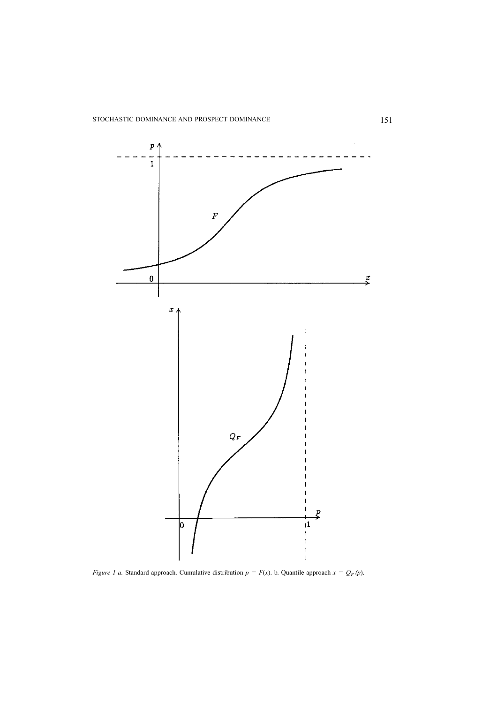

*Figure 1 a.* Standard approach. Cumulative distribution  $p = F(x)$ . b. Quantile approach  $x = Q_F(p)$ .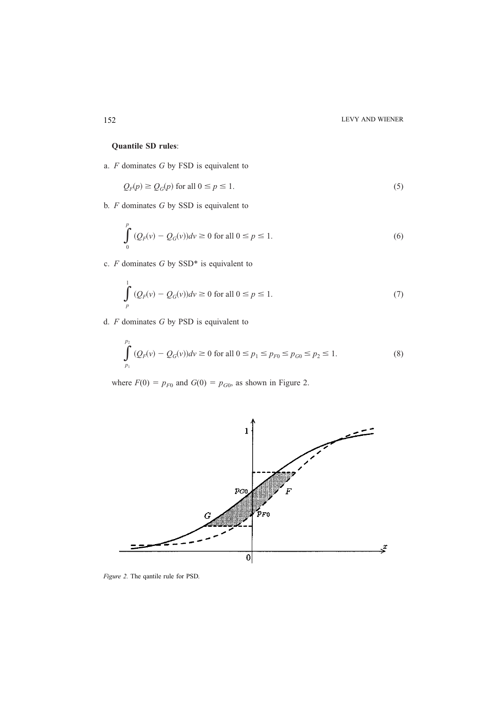## **Quantile SD rules**:

a. *F* dominates *G* by FSD is equivalent to

$$
Q_F(p) \ge Q_G(p) \text{ for all } 0 \le p \le 1.
$$
 (5)

b. *F* dominates *G* by SSD is equivalent to

$$
\int_{0}^{p} (Q_{F}(v) - Q_{G}(v))dv \ge 0 \text{ for all } 0 \le p \le 1.
$$
 (6)

c. *F* dominates *G* by SSD\* is equivalent to

$$
\int_{p}^{1} (Q_{F}(v) - Q_{G}(v))dv \ge 0 \text{ for all } 0 \le p \le 1.
$$
 (7)

d. *F* dominates *G* by PSD is equivalent to

$$
\int_{p_1}^{p_2} (Q_F(v) - Q_G(v)) dv \ge 0 \text{ for all } 0 \le p_1 \le p_{F0} \le p_{G0} \le p_2 \le 1.
$$
 (8)

where  $F(0) = p_{F0}$  and  $G(0) = p_{G0}$ , as shown in Figure 2.



*Figure 2.* The qantile rule for PSD.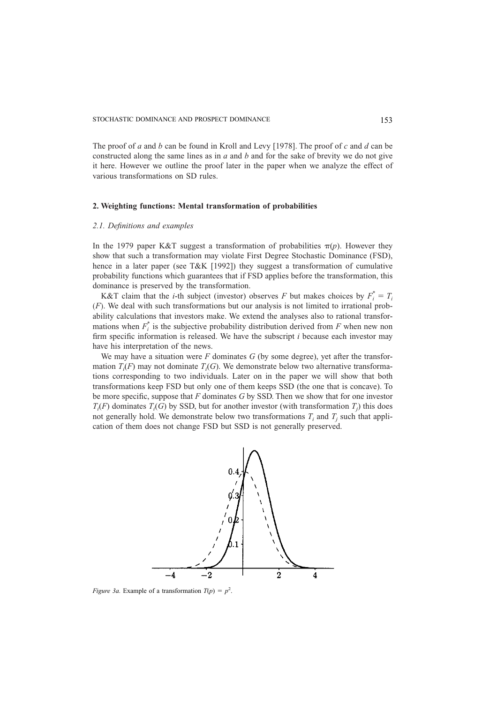The proof of *a* and *b* can be found in Kroll and Levy [1978]. The proof of *c* and *d* can be constructed along the same lines as in *a* and *b* and for the sake of brevity we do not give it here. However we outline the proof later in the paper when we analyze the effect of various transformations on SD rules.

#### **2. Weighting functions: Mental transformation of probabilities**

#### *2.1. Definitions and examples*

In the 1979 paper K&T suggest a transformation of probabilities  $\pi(p)$ . However they show that such a transformation may violate First Degree Stochastic Dominance (FSD), hence in a later paper (see T&K [1992]) they suggest a transformation of cumulative probability functions which guarantees that if FSD applies before the transformation, this dominance is preserved by the transformation.

K&T claim that the *i*-th subject (investor) observes *F* but makes choices by  $F_i^* = T_i$  $(F)$ . We deal with such transformations but our analysis is not limited to irrational probability calculations that investors make. We extend the analyses also to rational transformations when  $F_i^*$  is the subjective probability distribution derived from  $F$  when new non firm specific information is released. We have the subscript *i* because each investor may have his interpretation of the news.

We may have a situation were *F* dominates *G* (by some degree), yet after the transformation  $T_i(F)$  may not dominate  $T_i(G)$ . We demonstrate below two alternative transformations corresponding to two individuals. Later on in the paper we will show that both transformations keep FSD but only one of them keeps SSD (the one that is concave). To be more specific, suppose that *F* dominates *G* by SSD. Then we show that for one investor  $T_i(F)$  dominates  $T_i(G)$  by SSD, but for another investor (with transformation  $T_j$ ) this does not generally hold. We demonstrate below two transformations  $T_i$  and  $T_j$  such that application of them does not change FSD but SSD is not generally preserved.



*Figure 3a.* Example of a transformation  $T(p) = p^2$ .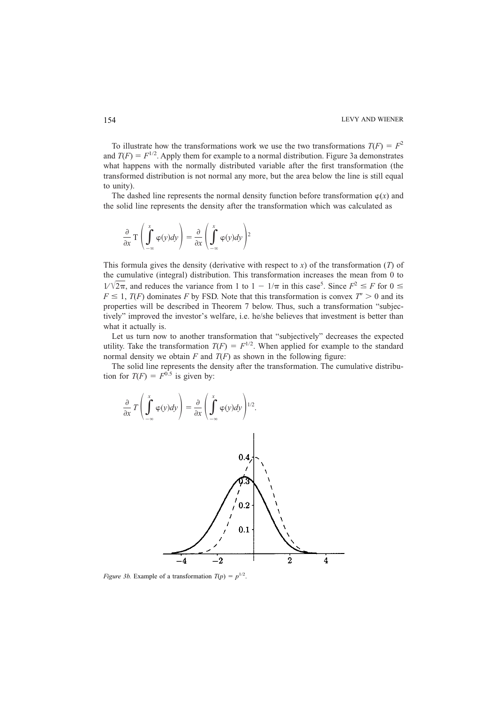To illustrate how the transformations work we use the two transformations  $T(F) = F^2$ and  $T(F) = F^{1/2}$ . Apply them for example to a normal distribution. Figure 3a demonstrates what happens with the normally distributed variable after the first transformation (the transformed distribution is not normal any more, but the area below the line is still equal to unity).

The dashed line represents the normal density function before transformation  $\varphi(x)$  and the solid line represents the density after the transformation which was calculated as

$$
\frac{\partial}{\partial x} \mathsf{T} \left( \int_{-\infty}^{x} \varphi(y) dy \right) = \frac{\partial}{\partial x} \left( \int_{-\infty}^{x} \varphi(y) dy \right)^2
$$

This formula gives the density (derivative with respect to *x*) of the transformation (*T*) of the cumulative (integral) distribution. This transformation increases the mean from 0 to  $1/\sqrt{2\pi}$ , and reduces the variance from 1 to  $1 - 1/\pi$  in this case<sup>5</sup>. Since  $F^2 \leq F$  for  $0 \leq$  $F \le 1$ ,  $T(F)$  dominates *F* by FSD. Note that this transformation is convex  $T' > 0$  and its properties will be described in Theorem 7 below. Thus, such a transformation "subjectively" improved the investor's welfare, i.e. he/she believes that investment is better than what it actually is.

Let us turn now to another transformation that "subjectively" decreases the expected utility. Take the transformation  $T(F) = F^{1/2}$ . When applied for example to the standard normal density we obtain  $F$  and  $T(F)$  as shown in the following figure:

The solid line represents the density after the transformation. The cumulative distribution for  $T(F) = F^{0.5}$  is given by:



*Figure 3b.* Example of a transformation  $T(p) = p^{1/2}$ .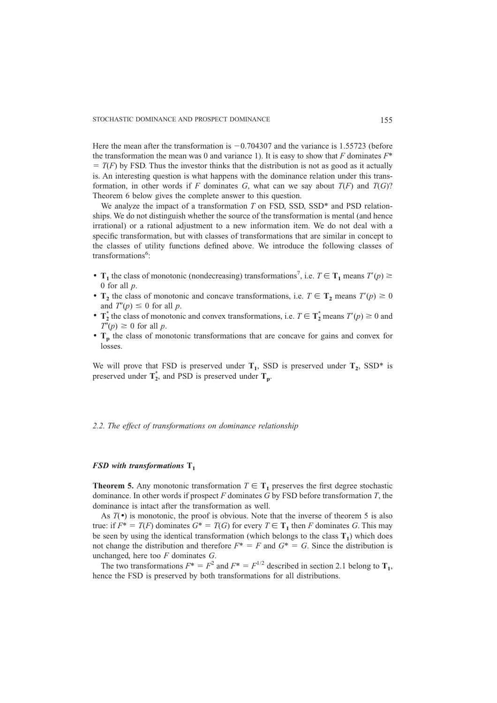Here the mean after the transformation is  $-0.704307$  and the variance is 1.55723 (before the transformation the mean was 0 and variance 1). It is easy to show that *F* dominates *F*\*  $T(T)$  by FSD. Thus the investor thinks that the distribution is not as good as it actually is. An interesting question is what happens with the dominance relation under this transformation, in other words if *F* dominates *G*, what can we say about  $T(F)$  and  $T(G)$ ? Theorem 6 below gives the complete answer to this question.

We analyze the impact of a transformation *T* on FSD, SSD, SSD<sup>\*</sup> and PSD relationships. We do not distinguish whether the source of the transformation is mental (and hence irrational) or a rational adjustment to a new information item. We do not deal with a specific transformation, but with classes of transformations that are similar in concept to the classes of utility functions defined above. We introduce the following classes of transformations<sup>6</sup>:

- **T**<sub>1</sub> the class of monotonic (nondecreasing) transformations<sup>7</sup>, i.e.  $T \in T_1$  means  $T'(p) \ge$ 0 for all *p*.
- **T**<sub>2</sub> the class of monotonic and concave transformations, i.e.  $T \in T_2$  means  $T'(p) \ge 0$ and  $T'(p) \leq 0$  for all *p*.
- $T_2^*$  the class of monotonic and convex transformations, i.e.  $T \in T_2^*$  means  $T'(p) \ge 0$  and  $T''(p) \geq 0$  for all *p*.
- T<sub>p</sub> the class of monotonic transformations that are concave for gains and convex for losses.

We will prove that FSD is preserved under  $T_1$ , SSD is preserved under  $T_2$ , SSD\* is preserved under  $T_2^*$ , and PSD is preserved under  $T_p$ .

#### *2.2. The effect of transformations on dominance relationship*

#### *FSD with transformations*  $T_1$

**Theorem 5.** Any monotonic transformation  $T \in T_1$  preserves the first degree stochastic dominance. In other words if prospect *F* dominates *G* by FSD before transformation *T*, the dominance is intact after the transformation as well.

As  $T(\bullet)$  is monotonic, the proof is obvious. Note that the inverse of theorem 5 is also true: if  $F^* = T(F)$  dominates  $G^* = T(G)$  for every  $T \in T_1$  then *F* dominates *G*. This may be seen by using the identical transformation (which belongs to the class  $T_1$ ) which does not change the distribution and therefore  $F^* = F$  and  $G^* = G$ . Since the distribution is unchanged, here too *F* dominates *G*.

The two transformations  $F^* = F^2$  and  $F^* = F^{1/2}$  described in section 2.1 belong to **T**<sub>1</sub>, hence the FSD is preserved by both transformations for all distributions.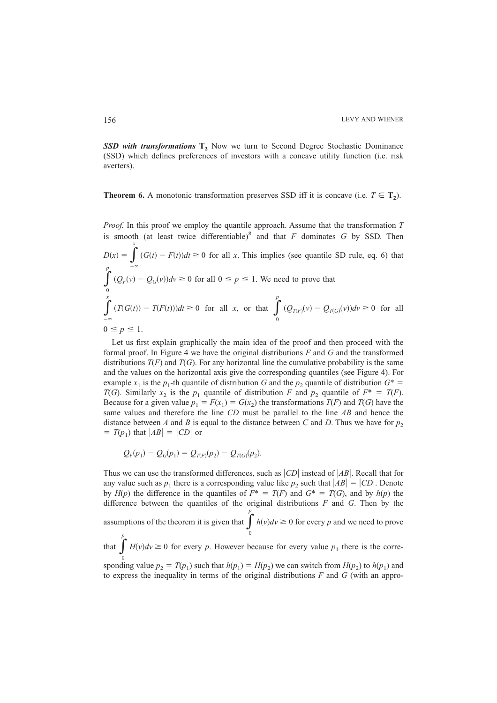**SSD with transformations**  $T_2$  Now we turn to Second Degree Stochastic Dominance (SSD) which defines preferences of investors with a concave utility function (i.e. risk averters).

**Theorem 6.** A monotonic transformation preserves SSD iff it is concave (i.e.  $T \in T_2$ ).

*Proof.* In this proof we employ the quantile approach. Assume that the transformation *T* is smooth (at least twice differentiable)<sup>8</sup> and that  $F$  dominates  $G$  by SSD. Then *x*

$$
D(x) = \int_{-\infty}^{\infty} (G(t) - F(t))dt \ge 0 \text{ for all } x. \text{ This implies (see quantile SD rule, eq. 6) that}
$$
\n
$$
\int_{0}^{p} (Q_F(v) - Q_G(v))dv \ge 0 \text{ for all } 0 \le p \le 1. \text{ We need to prove that}
$$
\n
$$
\int_{-\infty}^{x} (T(G(t)) - T(F(t)))dt \ge 0 \text{ for all } x, \text{ or that } \int_{0}^{p} (Q_{T(F)}(v) - Q_{T(G)}(v))dv \ge 0 \text{ for all }
$$
\n
$$
0 \le p \le 1.
$$

Let us first explain graphically the main idea of the proof and then proceed with the formal proof. In Figure 4 we have the original distributions *F* and *G* and the transformed distributions  $T(F)$  and  $T(G)$ . For any horizontal line the cumulative probability is the same and the values on the horizontal axis give the corresponding quantiles (see Figure 4). For example  $x_1$  is the  $p_1$ -th quantile of distribution *G* and the  $p_2$  quantile of distribution  $G^*$  = *T*(*G*). Similarly *x*<sub>2</sub> is the *p*<sub>1</sub> quantile of distribution *F* and *p*<sub>2</sub> quantile of  $F^* = T(F)$ . Because for a given value  $p_1 = F(x_1) = G(x_2)$  the transformations  $T(F)$  and  $T(G)$  have the same values and therefore the line *CD* must be parallel to the line *AB* and hence the distance between *A* and *B* is equal to the distance between *C* and *D*. Thus we have for  $p_2$  $T(p_1)$  that  $|AB| = |CD|$  or

$$
Q_F(p_1) - Q_G(p_1) = Q_{T(F)}(p_2) - Q_{T(G)}(p_2).
$$

Thus we can use the transformed differences, such as  $|CD|$  instead of  $|AB|$ . Recall that for any value such as  $p_1$  there is a corresponding value like  $p_2$  such that  $|AB| = |CD|$ . Denote by  $H(p)$  the difference in the quantiles of  $F^* = T(F)$  and  $G^* = T(G)$ , and by  $h(p)$  the difference between the quantiles of the original distributions *F* and *G*. Then by the assumptions of the theorem it is given that  $\int_{0}^{b}$ *p*  $h(v)dv \geq 0$  for every *p* and we need to prove *p*

that  $\int_{0}$  $H(v)dv \ge 0$  for every *p*. However because for every value  $p_1$  there is the corre-

sponding value  $p_2 = T(p_1)$  such that  $h(p_1) = H(p_2)$  we can switch from  $H(p_2)$  to  $h(p_1)$  and to express the inequality in terms of the original distributions *F* and *G* (with an appro-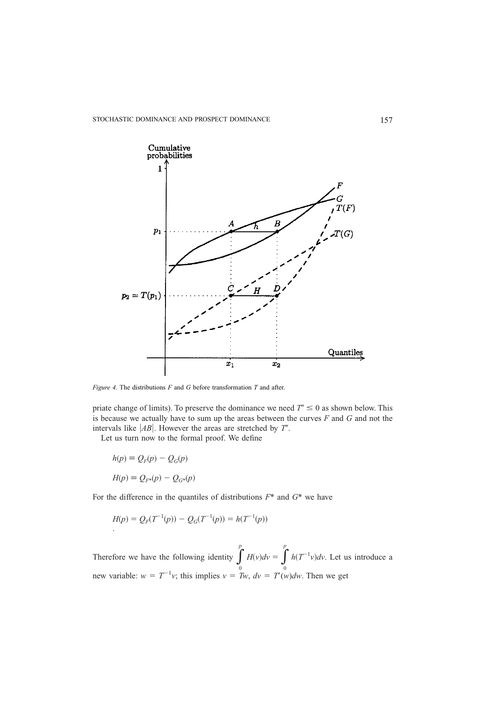

*Figure 4.* The distributions *F* and *G* before transformation *T* and after.

priate change of limits). To preserve the dominance we need  $T' \leq 0$  as shown below. This is because we actually have to sum up the areas between the curves *F* and *G* and not the intervals like  $|AB|$ . However the areas are stretched by *T'*.

Let us turn now to the formal proof. We define

$$
h(p) \equiv Q_F(p) - Q_G(p)
$$

$$
H(p) \equiv Q_{F^*}(p) - Q_{G^*}(p)
$$

For the difference in the quantiles of distributions *F*\* and *G*\* we have

$$
H(p) = Q_F(T^{-1}(p)) - Q_G(T^{-1}(p)) = h(T^{-1}(p))
$$

Therefore we have the following identity  $\int_{0}^{1}$  $\int_{0}^{p} H(v)dv = \int_{0}^{p}$ *p*  $h(T^{-1}v)dv$ . Let us introduce a new variable:  $w = T^{-1}v$ ; this implies  $v = Tw$ ,  $dv = T'(w)dw$ . Then we get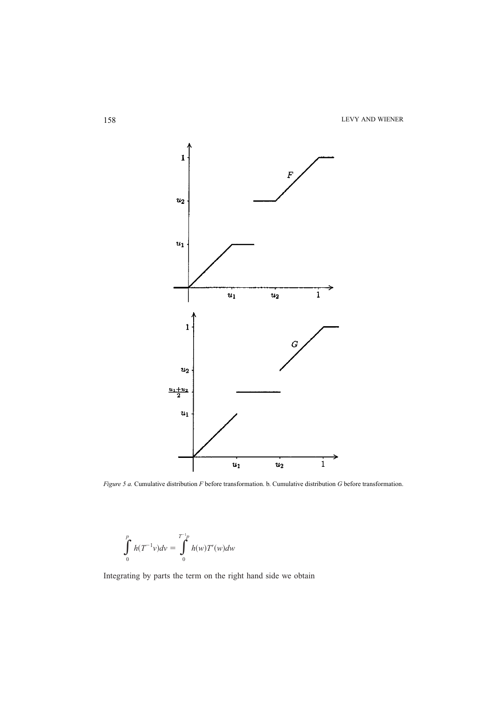158 LEVY AND WIENER



*Figure 5 a.* Cumulative distribution *F* before transformation. b. Cumulative distribution *G* before transformation.

$$
\int_{0}^{p} h(T^{-1}v)dv = \int_{0}^{T^{-1}p} h(w)T'(w)dw
$$

Integrating by parts the term on the right hand side we obtain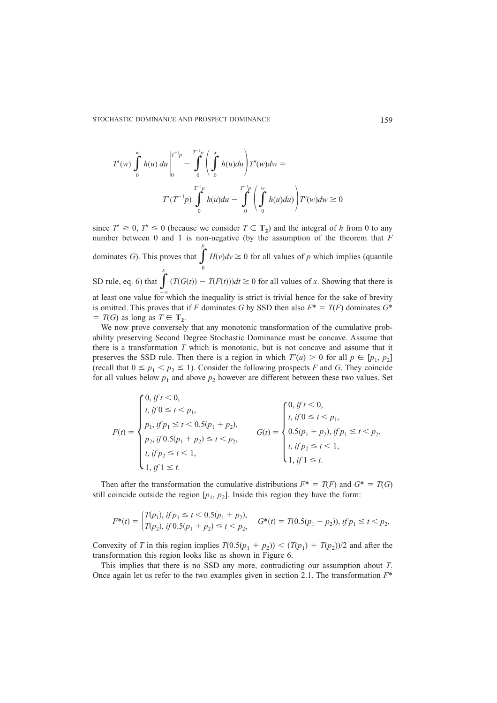STOCHASTIC DOMINANCE AND PROSPECT DOMINANCE 159

$$
T'(w) \int_{0}^{w} h(u) du \Big|_{0}^{T^{-1}p} - \int_{0}^{T^{-1}p} \left( \int_{0}^{w} h(u) du \right) T'(w) dw =
$$
  

$$
T'(T^{-1}p) \int_{0}^{T^{-1}p} h(u) du - \int_{0}^{T^{-1}p} \left( \int_{0}^{w} h(u) du \right) T'(w) dw \ge 0
$$

since  $T' \ge 0$ ,  $T'' \le 0$  (because we consider  $T \in T_2$ ) and the integral of *h* from 0 to any number between 0 and 1 is non-negative (by the assumption of the theorem that *F* dominates *G*). This proves that  $\int_{0}^{\infty}$ *p*  $H(v)dv \geq 0$  for all values of *p* which implies (quantile SD rule, eq. 6) that  $\int_0^x$ at least one value for which the inequality is strict is trivial hence for the sake of brevity  $(T(G(t)) - T(F(t)))dt \ge 0$  for all values of *x*. Showing that there is is omitted. This proves that if *F* dominates *G* by SSD then also  $F^* = T(F)$  dominates  $G^*$  $T(G)$  as long as  $T \in \mathbf{T_2}$ .

We now prove conversely that any monotonic transformation of the cumulative probability preserving Second Degree Stochastic Dominance must be concave. Assume that there is a transformation *T* which is monotonic, but is not concave and assume that it preserves the SSD rule. Then there is a region in which  $T'(u) > 0$  for all  $p \in [p_1, p_2]$ (recall that  $0 \le p_1 < p_2 \le 1$ ). Consider the following prospects *F* and *G*. They coincide for all values below  $p_1$  and above  $p_2$  however are different between these two values. Set

$$
F(t) = \begin{cases} 0, \text{ if } t < 0, \\ t, \text{ if } 0 \le t < p_1, \\ p_1, \text{ if } p_1 \le t < 0.5(p_1 + p_2), \\ p_2, \text{ if } 0.5(p_1 + p_2) \le t < p_2, \\ t, \text{ if } p_2 \le t < 1, \\ 1, \text{ if } 1 \le t. \end{cases} \qquad G(t) = \begin{cases} 0, \text{ if } t < 0, \\ t, \text{ if } 0 \le t < p_1, \\ 0.5(p_1 + p_2), \text{ if } p_1 \le t < p_2, \\ t, \text{ if } p_2 \le t < 1, \\ 1, \text{ if } 1 \le t. \end{cases}
$$

Then after the transformation the cumulative distributions  $F^* = T(F)$  and  $G^* = T(G)$ still coincide outside the region  $[p_1, p_2]$ . Inside this region they have the form:

$$
F^*(t) = \begin{cases} T(p_1), \, if \, p_1 \le t < 0.5(p_1 + p_2), \\ T(p_2), \, if \, 0.5(p_1 + p_2) \le t < p_2, \end{cases} \quad G^*(t) = T(0.5(p_1 + p_2)), \, if \, p_1 \le t < p_2,
$$

Convexity of *T* in this region implies  $T(0.5(p_1 + p_2)) < (T(p_1) + T(p_2))/2$  and after the transformation this region looks like as shown in Figure 6.

This implies that there is no SSD any more, contradicting our assumption about *T*. Once again let us refer to the two examples given in section 2.1. The transformation *F*\*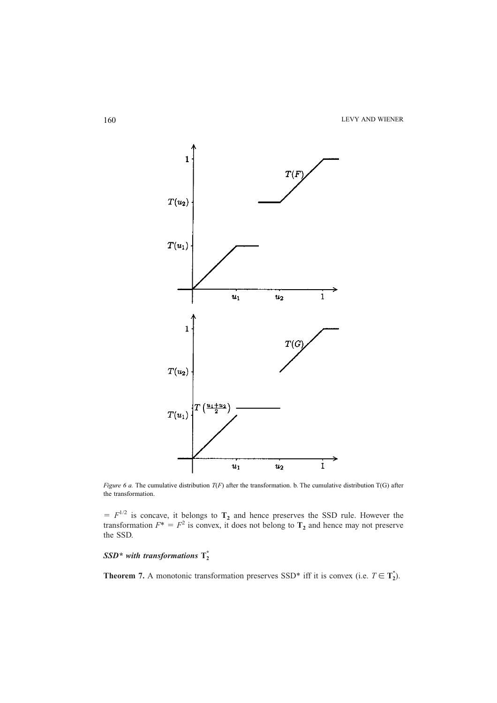160 LEVY AND WIENER



*Figure 6 a.* The cumulative distribution *T*(*F*) after the transformation. b. The cumulative distribution T(G) after the transformation.

 $F^{-1/2}$  is concave, it belongs to  $T_2$  and hence preserves the SSD rule. However the transformation  $F^* = F^2$  is convex, it does not belong to  $T_2$  and hence may not preserve the SSD.

# $SSD^*$  with transformations  $T_2^*$

**Theorem 7.** A monotonic transformation preserves SSD<sup>\*</sup> iff it is convex (i.e.  $T \in T_2^*$ ).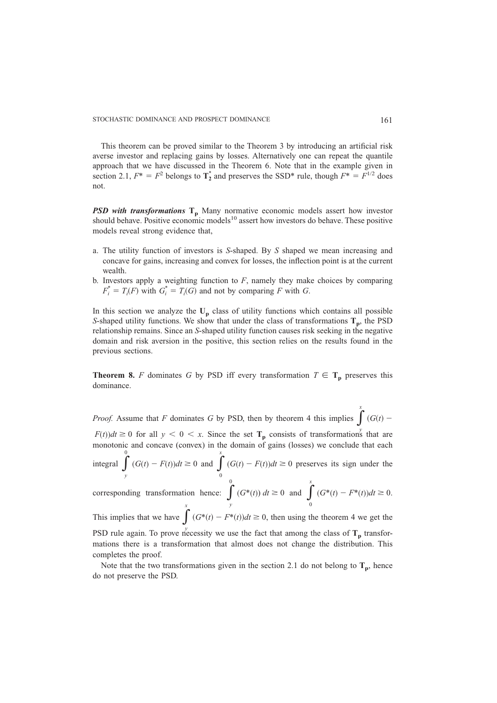This theorem can be proved similar to the Theorem 3 by introducing an artificial risk averse investor and replacing gains by losses. Alternatively one can repeat the quantile approach that we have discussed in the Theorem 6. Note that in the example given in section 2.1,  $F^* = F^2$  belongs to  $T_2^*$  and preserves the SSD\* rule, though  $F^* = F^{1/2}$  does not.

*PSD with transformations* **T<sub>p</sub>** Many normative economic models assert how investor should behave. Positive economic models<sup>10</sup> assert how investors do behave. These positive models reveal strong evidence that,

- a. The utility function of investors is *S*-shaped. By *S* shaped we mean increasing and concave for gains, increasing and convex for losses, the inflection point is at the current wealth.
- b. Investors apply a weighting function to  $F$ , namely they make choices by comparing  $F_i^* = T_i(F)$  with  $G_i^* = T_i(G)$  and not by comparing *F* with *G*.

In this section we analyze the  $U_p$  class of utility functions which contains all possible *S*-shaped utility functions. We show that under the class of transformations  $T_p$ , the PSD relationship remains. Since an *S*-shaped utility function causes risk seeking in the negative domain and risk aversion in the positive, this section relies on the results found in the previous sections.

**Theorem 8.** *F* dominates *G* by PSD iff every transformation  $T \in T_p$  preserves this dominance.

*Proof.* Assume that *F* dominates *G* by PSD, then by theorem 4 this implies  $\int G(t)$  –  $F(t)dt \ge 0$  for all  $y < 0 < x$ . Since the set  $T_p$  consists of transformations that are monotonic and concave (convex) in the domain of gains (losses) we conclude that each integral  $\int_{y}$  $\int_{y}^{0} (G(t) - F(t))dt \ge 0$  and  $\int_{0}^{x}$ *x*  $(G(t) - F(t))dt \ge 0$  preserves its sign under the corresponding transformation hence:  $\int_{y}$  $\int_{y}^{0}$  (*G*\*(*t*)) *dt*  $\geq 0$  and  $\int_{0}^{x}$ *x*  $(G^*(t) - F^*(t))dt \ge 0.$ This implies that we have  $\int (G^*(t) - F^*(t))dt \ge 0$ , then using the theorem 4 we get the *x*

PSD rule again. To prove necessity we use the fact that among the class of  $T_p$  transformations there is a transformation that almost does not change the distribution. This completes the proof.

Note that the two transformations given in the section 2.1 do not belong to  $T_p$ , hence do not preserve the PSD.

*x*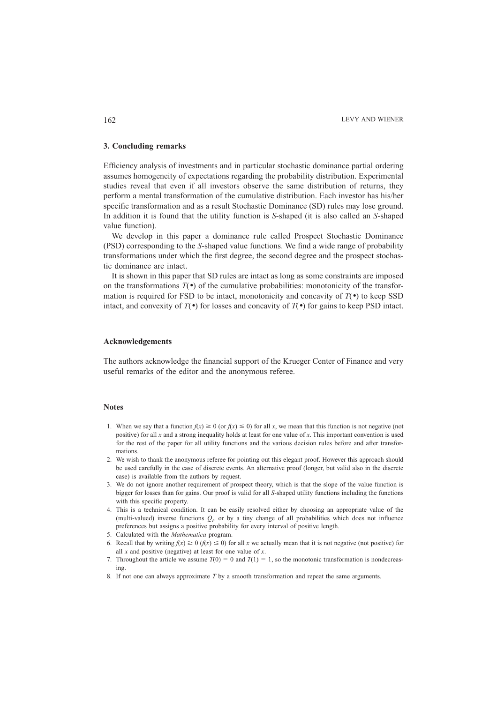#### **3. Concluding remarks**

Efficiency analysis of investments and in particular stochastic dominance partial ordering assumes homogeneity of expectations regarding the probability distribution. Experimental studies reveal that even if all investors observe the same distribution of returns, they perform a mental transformation of the cumulative distribution. Each investor has his/her specific transformation and as a result Stochastic Dominance (SD) rules may lose ground. In addition it is found that the utility function is *S*-shaped (it is also called an *S*-shaped value function).

We develop in this paper a dominance rule called Prospect Stochastic Dominance (PSD) corresponding to the *S*-shaped value functions. We find a wide range of probability transformations under which the first degree, the second degree and the prospect stochastic dominance are intact.

It is shown in this paper that SD rules are intact as long as some constraints are imposed on the transformations  $T(\bullet)$  of the cumulative probabilities: monotonicity of the transformation is required for FSD to be intact, monotonicity and concavity of  $T(\bullet)$  to keep SSD intact, and convexity of  $T(\bullet)$  for losses and concavity of  $T(\bullet)$  for gains to keep PSD intact.

#### **Acknowledgements**

The authors acknowledge the financial support of the Krueger Center of Finance and very useful remarks of the editor and the anonymous referee.

#### **Notes**

- 1. When we say that a function  $f(x) \ge 0$  (or  $f(x) \le 0$ ) for all x, we mean that this function is not negative (not positive) for all *x* and a strong inequality holds at least for one value of *x*. This important convention is used for the rest of the paper for all utility functions and the various decision rules before and after transformations.
- 2. We wish to thank the anonymous referee for pointing out this elegant proof. However this approach should be used carefully in the case of discrete events. An alternative proof (longer, but valid also in the discrete case) is available from the authors by request.
- 3. We do not ignore another requirement of prospect theory, which is that the slope of the value function is bigger for losses than for gains. Our proof is valid for all *S*-shaped utility functions including the functions with this specific property.
- 4. This is a technical condition. It can be easily resolved either by choosing an appropriate value of the (multi-valued) inverse functions  $O_F$  or by a tiny change of all probabilities which does not influence preferences but assigns a positive probability for every interval of positive length.
- 5. Calculated with the *Mathematica* program.
- 6. Recall that by writing  $f(x) \ge 0$  ( $f(x) \le 0$ ) for all *x* we actually mean that it is not negative (not positive) for all *x* and positive (negative) at least for one value of *x*.
- 7. Throughout the article we assume  $T(0) = 0$  and  $T(1) = 1$ , so the monotonic transformation is nondecreasing.
- 8. If not one can always approximate *T* by a smooth transformation and repeat the same arguments.